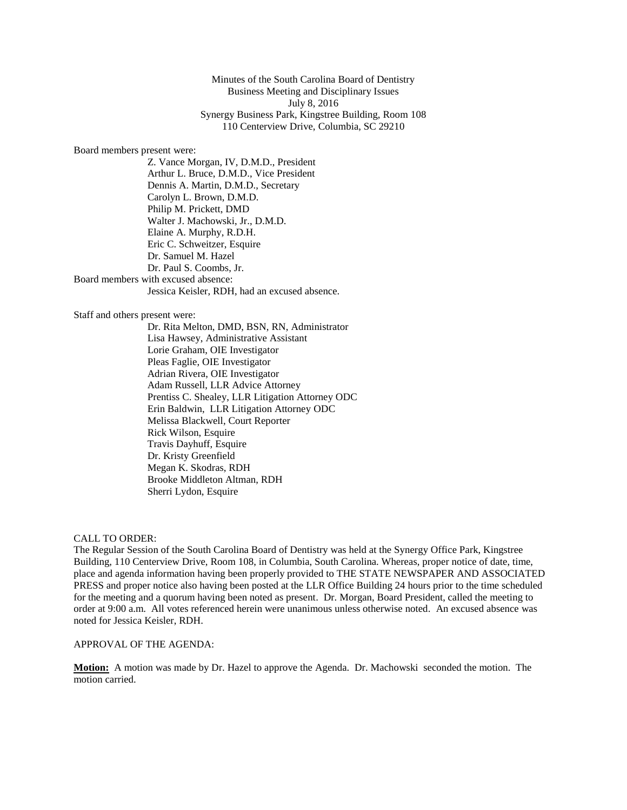Minutes of the South Carolina Board of Dentistry Business Meeting and Disciplinary Issues July 8, 2016 Synergy Business Park, Kingstree Building, Room 108 110 Centerview Drive, Columbia, SC 29210

#### Board members present were:

Z. Vance Morgan, IV, D.M.D., President Arthur L. Bruce, D.M.D., Vice President Dennis A. Martin, D.M.D., Secretary Carolyn L. Brown, D.M.D. Philip M. Prickett, DMD Walter J. Machowski, Jr., D.M.D. Elaine A. Murphy, R.D.H. Eric C. Schweitzer, Esquire Dr. Samuel M. Hazel Dr. Paul S. Coombs, Jr. Board members with excused absence: Jessica Keisler, RDH, had an excused absence.

#### Staff and others present were:

Dr. Rita Melton, DMD, BSN, RN, Administrator Lisa Hawsey, Administrative Assistant Lorie Graham, OIE Investigator Pleas Faglie, OIE Investigator Adrian Rivera, OIE Investigator Adam Russell, LLR Advice Attorney Prentiss C. Shealey, LLR Litigation Attorney ODC Erin Baldwin, LLR Litigation Attorney ODC Melissa Blackwell, Court Reporter Rick Wilson, Esquire Travis Dayhuff, Esquire Dr. Kristy Greenfield Megan K. Skodras, RDH Brooke Middleton Altman, RDH Sherri Lydon, Esquire

CALL TO ORDER:

The Regular Session of the South Carolina Board of Dentistry was held at the Synergy Office Park, Kingstree Building, 110 Centerview Drive, Room 108, in Columbia, South Carolina. Whereas, proper notice of date, time, place and agenda information having been properly provided to THE STATE NEWSPAPER AND ASSOCIATED PRESS and proper notice also having been posted at the LLR Office Building 24 hours prior to the time scheduled for the meeting and a quorum having been noted as present. Dr. Morgan, Board President, called the meeting to order at 9:00 a.m. All votes referenced herein were unanimous unless otherwise noted*.* An excused absence was noted for Jessica Keisler, RDH.

## APPROVAL OF THE AGENDA:

**Motion:** A motion was made by Dr. Hazel to approve the Agenda. Dr. Machowski seconded the motion. The motion carried.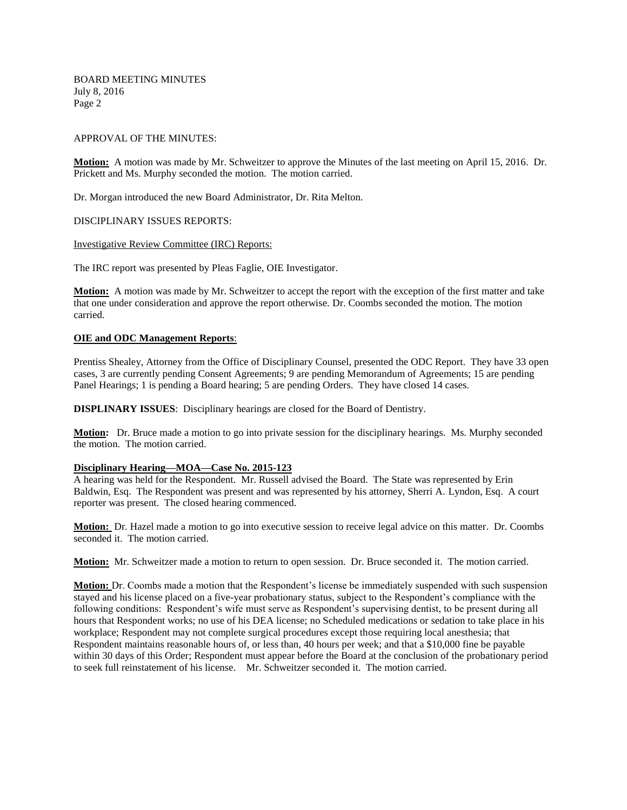BOARD MEETING MINUTES July 8, 2016 Page 2

#### APPROVAL OF THE MINUTES:

**Motion:** A motion was made by Mr. Schweitzer to approve the Minutes of the last meeting on April 15, 2016. Dr. Prickett and Ms. Murphy seconded the motion. The motion carried.

Dr. Morgan introduced the new Board Administrator, Dr. Rita Melton.

#### DISCIPLINARY ISSUES REPORTS:

#### Investigative Review Committee (IRC) Reports:

The IRC report was presented by Pleas Faglie, OIE Investigator.

**Motion:** A motion was made by Mr. Schweitzer to accept the report with the exception of the first matter and take that one under consideration and approve the report otherwise. Dr. Coombs seconded the motion. The motion carried.

### **OIE and ODC Management Reports**:

Prentiss Shealey, Attorney from the Office of Disciplinary Counsel, presented the ODC Report. They have 33 open cases, 3 are currently pending Consent Agreements; 9 are pending Memorandum of Agreements; 15 are pending Panel Hearings; 1 is pending a Board hearing; 5 are pending Orders. They have closed 14 cases.

**DISPLINARY ISSUES**: Disciplinary hearings are closed for the Board of Dentistry.

**Motion:** Dr. Bruce made a motion to go into private session for the disciplinary hearings. Ms. Murphy seconded the motion. The motion carried.

#### **Disciplinary Hearing—MOA—Case No. 2015-123**

A hearing was held for the Respondent. Mr. Russell advised the Board. The State was represented by Erin Baldwin, Esq. The Respondent was present and was represented by his attorney, Sherri A. Lyndon, Esq. A court reporter was present. The closed hearing commenced.

**Motion:** Dr. Hazel made a motion to go into executive session to receive legal advice on this matter. Dr. Coombs seconded it. The motion carried.

**Motion:** Mr. Schweitzer made a motion to return to open session. Dr. Bruce seconded it. The motion carried.

**Motion:** Dr. Coombs made a motion that the Respondent's license be immediately suspended with such suspension stayed and his license placed on a five-year probationary status, subject to the Respondent's compliance with the following conditions: Respondent's wife must serve as Respondent's supervising dentist, to be present during all hours that Respondent works; no use of his DEA license; no Scheduled medications or sedation to take place in his workplace; Respondent may not complete surgical procedures except those requiring local anesthesia; that Respondent maintains reasonable hours of, or less than, 40 hours per week; and that a \$10,000 fine be payable within 30 days of this Order; Respondent must appear before the Board at the conclusion of the probationary period to seek full reinstatement of his license. Mr. Schweitzer seconded it. The motion carried.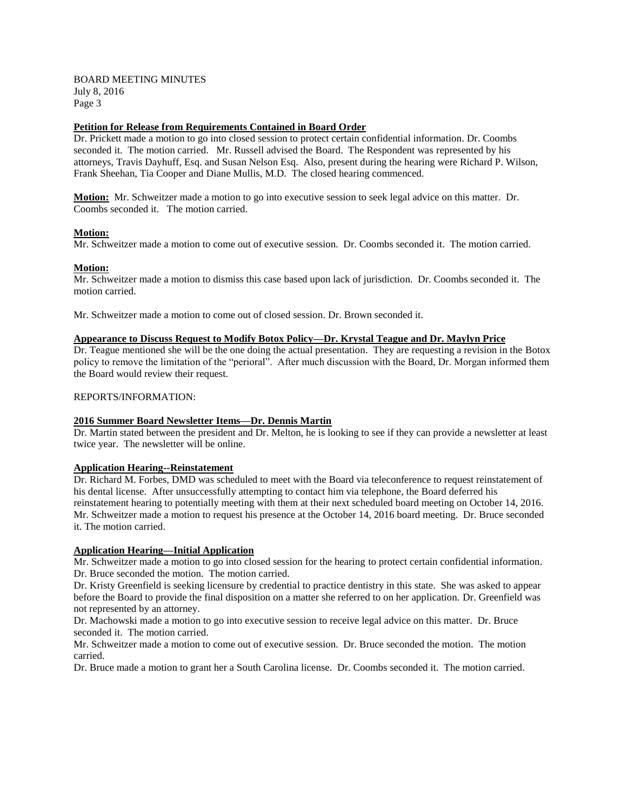### BOARD MEETING MINUTES July 8, 2016 Page 3

### **Petition for Release from Requirements Contained in Board Order**

Dr. Prickett made a motion to go into closed session to protect certain confidential information. Dr. Coombs seconded it. The motion carried. Mr. Russell advised the Board. The Respondent was represented by his attorneys, Travis Dayhuff, Esq. and Susan Nelson Esq. Also, present during the hearing were Richard P. Wilson, Frank Sheehan, Tia Cooper and Diane Mullis, M.D. The closed hearing commenced.

**Motion:** Mr. Schweitzer made a motion to go into executive session to seek legal advice on this matter. Dr. Coombs seconded it. The motion carried.

### **Motion:**

Mr. Schweitzer made a motion to come out of executive session. Dr. Coombs seconded it. The motion carried.

#### **Motion:**

Mr. Schweitzer made a motion to dismiss this case based upon lack of jurisdiction. Dr. Coombs seconded it. The motion carried.

Mr. Schweitzer made a motion to come out of closed session. Dr. Brown seconded it.

# **Appearance to Discuss Request to Modify Botox Policy—Dr. Krystal Teague and Dr. Maylyn Price**

Dr. Teague mentioned she will be the one doing the actual presentation. They are requesting a revision in the Botox policy to remove the limitation of the "perioral". After much discussion with the Board, Dr. Morgan informed them the Board would review their request.

#### REPORTS/INFORMATION:

#### **2016 Summer Board Newsletter Items—Dr. Dennis Martin**

Dr. Martin stated between the president and Dr. Melton, he is looking to see if they can provide a newsletter at least twice year. The newsletter will be online.

### **Application Hearing--Reinstatement**

Dr. Richard M. Forbes, DMD was scheduled to meet with the Board via teleconference to request reinstatement of his dental license. After unsuccessfully attempting to contact him via telephone, the Board deferred his reinstatement hearing to potentially meeting with them at their next scheduled board meeting on October 14, 2016. Mr. Schweitzer made a motion to request his presence at the October 14, 2016 board meeting. Dr. Bruce seconded it. The motion carried.

### **Application Hearing—Initial Application**

Mr. Schweitzer made a motion to go into closed session for the hearing to protect certain confidential information. Dr. Bruce seconded the motion. The motion carried.

Dr. Kristy Greenfield is seeking licensure by credential to practice dentistry in this state. She was asked to appear before the Board to provide the final disposition on a matter she referred to on her application. Dr. Greenfield was not represented by an attorney.

Dr. Machowski made a motion to go into executive session to receive legal advice on this matter. Dr. Bruce seconded it. The motion carried.

Mr. Schweitzer made a motion to come out of executive session. Dr. Bruce seconded the motion. The motion carried.

Dr. Bruce made a motion to grant her a South Carolina license. Dr. Coombs seconded it. The motion carried.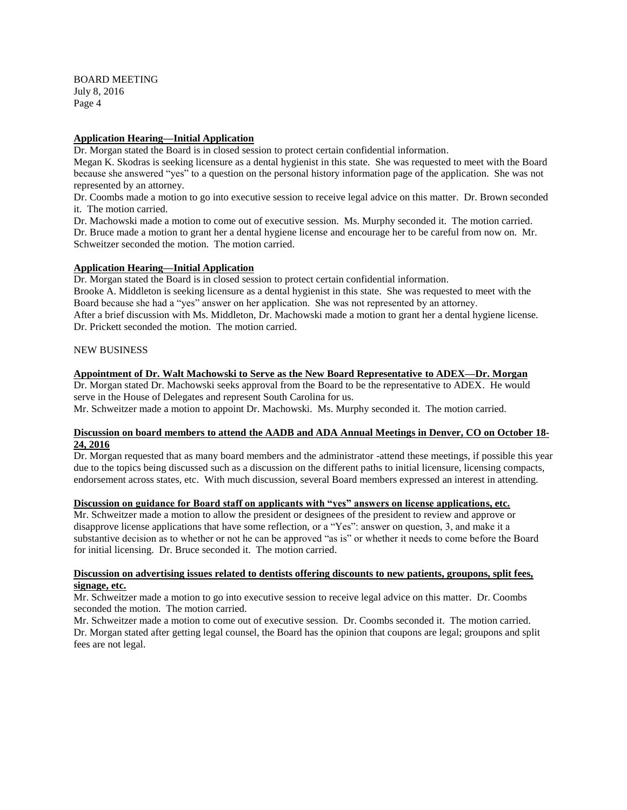BOARD MEETING July 8, 2016 Page 4

#### **Application Hearing—Initial Application**

Dr. Morgan stated the Board is in closed session to protect certain confidential information.

Megan K. Skodras is seeking licensure as a dental hygienist in this state. She was requested to meet with the Board because she answered "yes" to a question on the personal history information page of the application. She was not represented by an attorney.

Dr. Coombs made a motion to go into executive session to receive legal advice on this matter. Dr. Brown seconded it. The motion carried.

Dr. Machowski made a motion to come out of executive session. Ms. Murphy seconded it. The motion carried. Dr. Bruce made a motion to grant her a dental hygiene license and encourage her to be careful from now on. Mr. Schweitzer seconded the motion. The motion carried.

#### **Application Hearing—Initial Application**

Dr. Morgan stated the Board is in closed session to protect certain confidential information. Brooke A. Middleton is seeking licensure as a dental hygienist in this state. She was requested to meet with the Board because she had a "yes" answer on her application. She was not represented by an attorney. After a brief discussion with Ms. Middleton, Dr. Machowski made a motion to grant her a dental hygiene license. Dr. Prickett seconded the motion. The motion carried.

#### NEW BUSINESS

#### **Appointment of Dr. Walt Machowski to Serve as the New Board Representative to ADEX—Dr. Morgan**

Dr. Morgan stated Dr. Machowski seeks approval from the Board to be the representative to ADEX. He would serve in the House of Delegates and represent South Carolina for us.

Mr. Schweitzer made a motion to appoint Dr. Machowski. Ms. Murphy seconded it. The motion carried.

## **Discussion on board members to attend the AADB and ADA Annual Meetings in Denver, CO on October 18- 24, 2016**

Dr. Morgan requested that as many board members and the administrator -attend these meetings, if possible this year due to the topics being discussed such as a discussion on the different paths to initial licensure, licensing compacts, endorsement across states, etc. With much discussion, several Board members expressed an interest in attending.

### **Discussion on guidance for Board staff on applicants with "yes" answers on license applications, etc.**

Mr. Schweitzer made a motion to allow the president or designees of the president to review and approve or disapprove license applications that have some reflection, or a "Yes": answer on question, 3, and make it a substantive decision as to whether or not he can be approved "as is" or whether it needs to come before the Board for initial licensing. Dr. Bruce seconded it. The motion carried.

## **Discussion on advertising issues related to dentists offering discounts to new patients, groupons, split fees, signage, etc.**

Mr. Schweitzer made a motion to go into executive session to receive legal advice on this matter. Dr. Coombs seconded the motion. The motion carried.

Mr. Schweitzer made a motion to come out of executive session. Dr. Coombs seconded it. The motion carried. Dr. Morgan stated after getting legal counsel, the Board has the opinion that coupons are legal; groupons and split fees are not legal.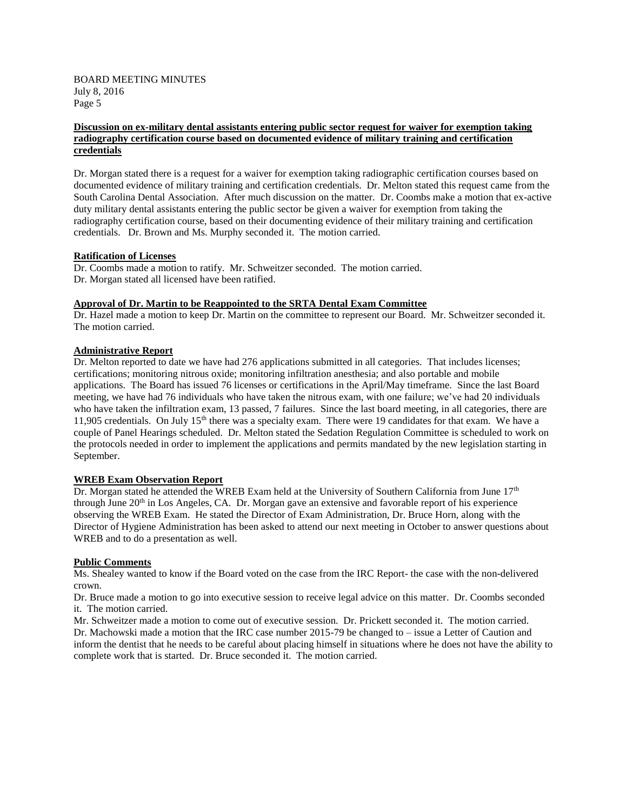BOARD MEETING MINUTES July 8, 2016 Page 5

### **Discussion on ex-military dental assistants entering public sector request for waiver for exemption taking radiography certification course based on documented evidence of military training and certification credentials**

Dr. Morgan stated there is a request for a waiver for exemption taking radiographic certification courses based on documented evidence of military training and certification credentials. Dr. Melton stated this request came from the South Carolina Dental Association. After much discussion on the matter. Dr. Coombs make a motion that ex-active duty military dental assistants entering the public sector be given a waiver for exemption from taking the radiography certification course, based on their documenting evidence of their military training and certification credentials. Dr. Brown and Ms. Murphy seconded it. The motion carried.

### **Ratification of Licenses**

Dr. Coombs made a motion to ratify. Mr. Schweitzer seconded. The motion carried. Dr. Morgan stated all licensed have been ratified.

### **Approval of Dr. Martin to be Reappointed to the SRTA Dental Exam Committee**

Dr. Hazel made a motion to keep Dr. Martin on the committee to represent our Board. Mr. Schweitzer seconded it. The motion carried.

## **Administrative Report**

Dr. Melton reported to date we have had 276 applications submitted in all categories. That includes licenses; certifications; monitoring nitrous oxide; monitoring infiltration anesthesia; and also portable and mobile applications. The Board has issued 76 licenses or certifications in the April/May timeframe. Since the last Board meeting, we have had 76 individuals who have taken the nitrous exam, with one failure; we've had 20 individuals who have taken the infiltration exam, 13 passed, 7 failures. Since the last board meeting, in all categories, there are 11,905 credentials. On July 15<sup>th</sup> there was a specialty exam. There were 19 candidates for that exam. We have a couple of Panel Hearings scheduled. Dr. Melton stated the Sedation Regulation Committee is scheduled to work on the protocols needed in order to implement the applications and permits mandated by the new legislation starting in September.

## **WREB Exam Observation Report**

Dr. Morgan stated he attended the WREB Exam held at the University of Southern California from June 17<sup>th</sup> through June 20th in Los Angeles, CA. Dr. Morgan gave an extensive and favorable report of his experience observing the WREB Exam. He stated the Director of Exam Administration, Dr. Bruce Horn, along with the Director of Hygiene Administration has been asked to attend our next meeting in October to answer questions about WREB and to do a presentation as well.

#### **Public Comments**

Ms. Shealey wanted to know if the Board voted on the case from the IRC Report- the case with the non-delivered crown.

Dr. Bruce made a motion to go into executive session to receive legal advice on this matter. Dr. Coombs seconded it. The motion carried.

Mr. Schweitzer made a motion to come out of executive session. Dr. Prickett seconded it. The motion carried. Dr. Machowski made a motion that the IRC case number 2015-79 be changed to – issue a Letter of Caution and inform the dentist that he needs to be careful about placing himself in situations where he does not have the ability to complete work that is started. Dr. Bruce seconded it. The motion carried.